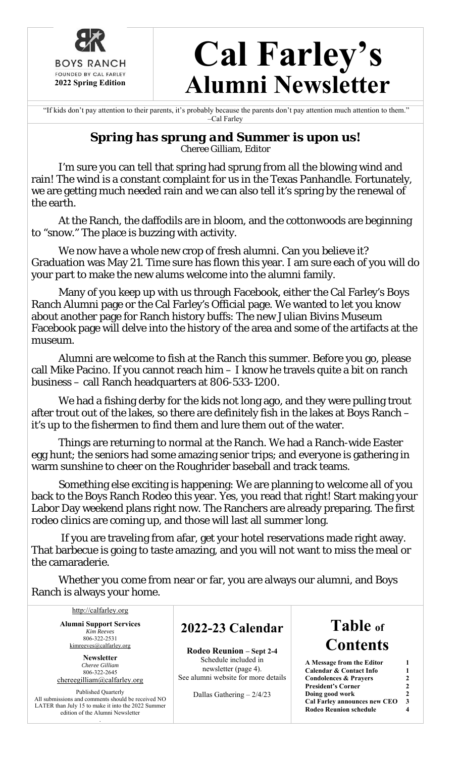

# **Cal Farley's Alumni Newsletter**

 "If kids don't pay attention to their parents, it's probably because the parents don't pay attention much attention to them." –Cal Farley

#### *Spring has sprung and Summer is upon us!*  Cheree Gilliam, Editor

 I'm sure you can tell that spring had sprung from all the blowing wind and rain! The wind is a constant complaint for us in the Texas Panhandle. Fortunately, we are getting much needed rain and we can also tell it's spring by the renewal of the earth.

At the Ranch, the daffodils are in bloom, and the cottonwoods are beginning to "snow." The place is buzzing with activity.

We now have a whole new crop of fresh alumni. Can you believe it? Graduation was May 21. Time sure has flown this year. I am sure each of you will do your part to make the new alums welcome into the alumni family.

Many of you keep up with us through Facebook, either the Cal Farley's Boys Ranch Alumni page or the Cal Farley's Official page. We wanted to let you know about another page for Ranch history buffs: The new Julian Bivins Museum Facebook page will delve into the history of the area and some of the artifacts at the museum.

Alumni are welcome to fish at the Ranch this summer. Before you go, please call Mike Pacino. If you cannot reach him – I know he travels quite a bit on ranch business – call Ranch headquarters at 806-533-1200.

We had a fishing derby for the kids not long ago, and they were pulling trout after trout out of the lakes, so there are definitely fish in the lakes at Boys Ranch – it's up to the fishermen to find them and lure them out of the water.

Things are returning to normal at the Ranch. We had a Ranch-wide Easter egg hunt; the seniors had some amazing senior trips; and everyone is gathering in warm sunshine to cheer on the Roughrider baseball and track teams.

Something else exciting is happening: We are planning to welcome all of you back to the Boys Ranch Rodeo this year. Yes, you read that right! Start making your Labor Day weekend plans right now. The Ranchers are already preparing. The first rodeo clinics are coming up, and those will last all summer long.

 If you are traveling from afar, get your hotel reservations made right away. That barbecue is going to taste amazing, and you will not want to miss the meal or the camaraderie.

Whether you come from near or far, you are always our alumni, and Boys Ranch is always your home.

http://calfarley.org **Alumni Support Services**  *Kim Reeves*  806-322-2531 kimreeves@calfarley.org

**Newsletter**  *Cheree Gilliam*  806-322-2645 chereegilliam@calfarley.org

Published Quarterly All submissions and comments should be received NO LATER than July 15 to make it into the 2022 Summer edition of the Alumni Newsletter

.

### **2022-23 Calendar**

**Rodeo Reunion – Sept 2-4**  Schedule included in newsletter (page 4). See alumni website for more details

Dallas Gathering – 2/4/23

## **Table of Contents**

| A Message from the Editor          |                |
|------------------------------------|----------------|
| <b>Calendar &amp; Contact Info</b> | 1              |
| <b>Condolences &amp; Prayers</b>   | $\mathfrak{D}$ |
| <b>President's Corner</b>          | $\mathfrak{D}$ |
| Doing good work                    | $\mathfrak{D}$ |
| Cal Farley announces new CEO       | 3              |
| <b>Rodeo Reunion schedule</b>      |                |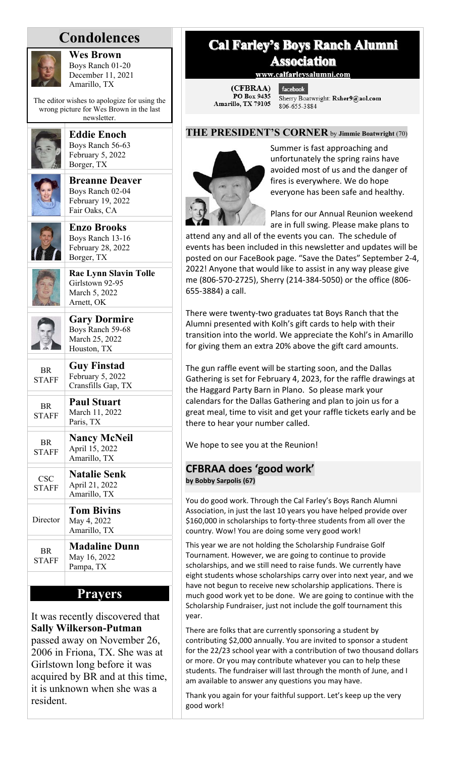## **Condolences**



**Wes Brown**  Boys Ranch 01-20 December 11, 2021 Amarillo, TX

The editor wishes to apologize for using the wrong picture for Wes Brown in the last newsletter.



**Eddie Enoch**  Boys Ranch 56-63 February 5, 2022 Borger, TX

**Breanne Deaver**  Boys Ranch 02-04 February 19, 2022 Fair Oaks, CA



**Enzo Brooks**  Boys Ranch 13-16 February 28, 2022 Borger, TX



**Rae Lynn Slavin Tolle**  Girlstown 92-95 March 5, 2022 Arnett, OK



**BR** 

**Gary Dormire**  Boys Ranch 59-68 March 25, 2022 Houston, TX **Guy Finstad**   $F_{\text{chmdust}}$  5, 2022

| <b>STAFF</b>              | $F$ eoruary 3, $2022$<br>Cransfills Gap, TX           |
|---------------------------|-------------------------------------------------------|
| BR.<br><b>STAFF</b>       | <b>Paul Stuart</b><br>March 11, 2022<br>Paris, TX     |
| <b>BR</b><br><b>STAFF</b> | <b>Nancy McNeil</b><br>April 15, 2022<br>Amarillo, TX |
| CSC<br><b>STAFF</b>       | <b>Natalie Senk</b><br>April 21, 2022<br>Amarillo, TX |
| Director                  | <b>Tom Bivins</b><br>May 4, 2022<br>Amarillo, TX      |
| <b>BR</b><br><b>STAFF</b> | <b>Madaline Dunn</b><br>May 16, 2022<br>Pampa, TX     |

#### **Prayers**

It was recently discovered that **Sally Wilkerson-Putman** passed away on November 26, 2006 in Friona, TX. She was at Girlstown long before it was acquired by BR and at this time, it is unknown when she was a resident.

#### **Cal Farley's Boys Ranch Alumni Association**

www.calfarleysalumni.com

(CFBRAA) PO Box 9435 Amarillo, TX 79105

facebook. Sherry Boatwright: Rsher9@aol.com 806-655-3884

#### **THE PRESIDENT'S CORNER** by **Jimmie Boatwright** (70)



Summer is fast approaching and unfortunately the spring rains have avoided most of us and the danger of fires is everywhere. We do hope everyone has been safe and healthy.

Plans for our Annual Reunion weekend are in full swing. Please make plans to

attend any and all of the events you can. The schedule of events has been included in this newsletter and updates will be posted on our FaceBook page. "Save the Dates" September 2‐4, 2022! Anyone that would like to assist in any way please give me (806‐570‐2725), Sherry (214‐384‐5050) or the office (806‐ 655‐3884) a call.

There were twenty‐two graduates tat Boys Ranch that the Alumni presented with Kolh's gift cards to help with their transition into the world. We appreciate the Kohl's in Amarillo for giving them an extra 20% above the gift card amounts.

The gun raffle event will be starting soon, and the Dallas Gathering is set for February 4, 2023, for the raffle drawings at the Haggard Party Barn in Plano. So please mark your calendars for the Dallas Gathering and plan to join us for a great meal, time to visit and get your raffle tickets early and be there to hear your number called.

We hope to see you at the Reunion!

#### **CFBRAA does 'good work'**

**by Bobby Sarpolis (67)** 

You do good work. Through the Cal Farley's Boys Ranch Alumni Association, in just the last 10 years you have helped provide over \$160,000 in scholarships to forty‐three students from all over the country. Wow! You are doing some very good work!

This year we are not holding the Scholarship Fundraise Golf Tournament. However, we are going to continue to provide scholarships, and we still need to raise funds. We currently have eight students whose scholarships carry over into next year, and we have not begun to receive new scholarship applications. There is much good work yet to be done. We are going to continue with the Scholarship Fundraiser, just not include the golf tournament this year.

There are folks that are currently sponsoring a student by contributing \$2,000 annually. You are invited to sponsor a student for the 22/23 school year with a contribution of two thousand dollars or more. Or you may contribute whatever you can to help these students. The fundraiser will last through the month of June, and I am available to answer any questions you may have.

Thank you again for your faithful support. Let's keep up the very good work!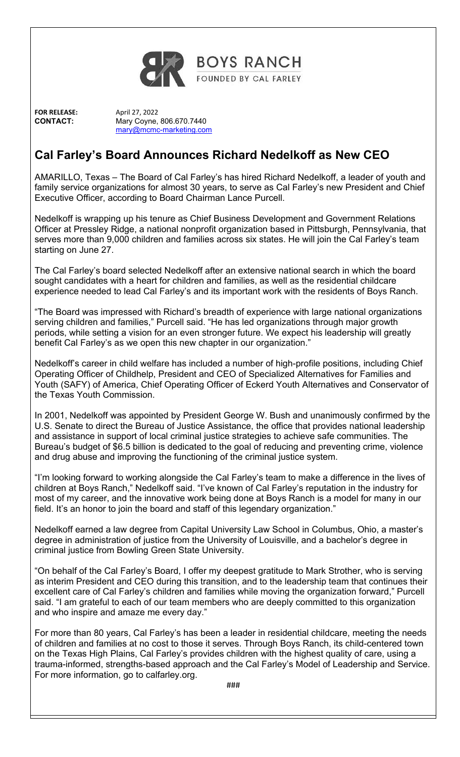

**FOR RELEASE:**  April 27, 2022

**CONTACT:** Mary Coyne, 806.670.7440 mary@mcmc-marketing.com

#### **Cal Farley's Board Announces Richard Nedelkoff as New CEO**

AMARILLO, Texas – The Board of Cal Farley's has hired Richard Nedelkoff, a leader of youth and family service organizations for almost 30 years, to serve as Cal Farley's new President and Chief Executive Officer, according to Board Chairman Lance Purcell.

Nedelkoff is wrapping up his tenure as Chief Business Development and Government Relations Officer at Pressley Ridge, a national nonprofit organization based in Pittsburgh, Pennsylvania, that serves more than 9,000 children and families across six states. He will join the Cal Farley's team starting on June 27.

The Cal Farley's board selected Nedelkoff after an extensive national search in which the board sought candidates with a heart for children and families, as well as the residential childcare experience needed to lead Cal Farley's and its important work with the residents of Boys Ranch.

"The Board was impressed with Richard's breadth of experience with large national organizations serving children and families," Purcell said. "He has led organizations through major growth periods, while setting a vision for an even stronger future. We expect his leadership will greatly benefit Cal Farley's as we open this new chapter in our organization."

Nedelkoff's career in child welfare has included a number of high-profile positions, including Chief Operating Officer of Childhelp, President and CEO of Specialized Alternatives for Families and Youth (SAFY) of America, Chief Operating Officer of Eckerd Youth Alternatives and Conservator of the Texas Youth Commission.

In 2001, Nedelkoff was appointed by President George W. Bush and unanimously confirmed by the U.S. Senate to direct the Bureau of Justice Assistance, the office that provides national leadership and assistance in support of local criminal justice strategies to achieve safe communities. The Bureau's budget of \$6.5 billion is dedicated to the goal of reducing and preventing crime, violence and drug abuse and improving the functioning of the criminal justice system.

"I'm looking forward to working alongside the Cal Farley's team to make a difference in the lives of children at Boys Ranch," Nedelkoff said. "I've known of Cal Farley's reputation in the industry for most of my career, and the innovative work being done at Boys Ranch is a model for many in our field. It's an honor to join the board and staff of this legendary organization."

Nedelkoff earned a law degree from Capital University Law School in Columbus, Ohio, a master's degree in administration of justice from the University of Louisville, and a bachelor's degree in criminal justice from Bowling Green State University.

"On behalf of the Cal Farley's Board, I offer my deepest gratitude to Mark Strother, who is serving as interim President and CEO during this transition, and to the leadership team that continues their excellent care of Cal Farley's children and families while moving the organization forward," Purcell said. "I am grateful to each of our team members who are deeply committed to this organization and who inspire and amaze me every day."

For more than 80 years, Cal Farley's has been a leader in residential childcare, meeting the needs of children and families at no cost to those it serves. Through Boys Ranch, its child-centered town on the Texas High Plains, Cal Farley's provides children with the highest quality of care, using a trauma-informed, strengths-based approach and the Cal Farley's Model of Leadership and Service. For more information, go to calfarley.org.